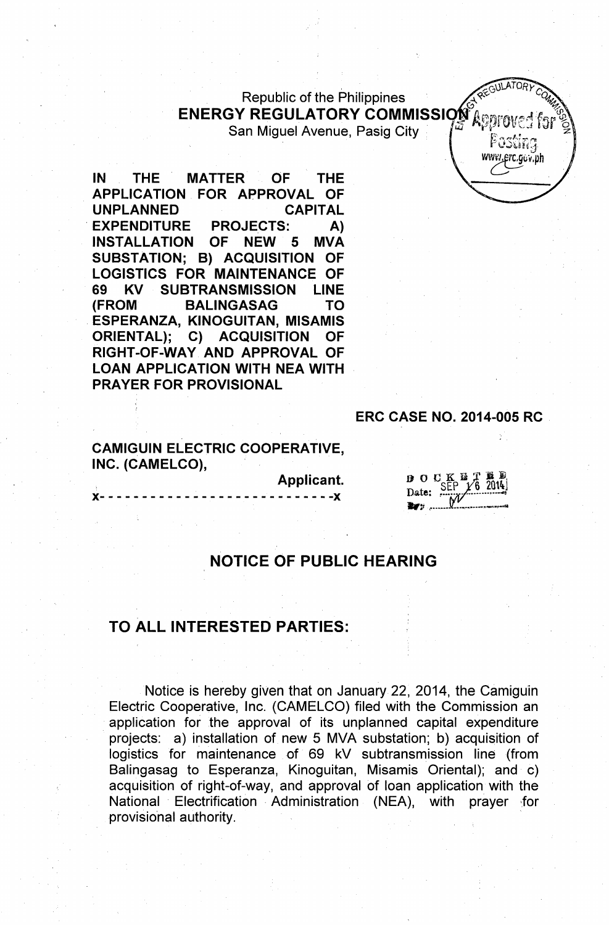Republic of the Philippines ENERGY REGULATORY COMMISSI

San Miguel Avenue, Pasig City'

IN THE MATTER OF THE . APPLICATION FOR APPROVAL OF UNPLANNED CAPITAL EXPENDITURE PROJECTS: A) INSTAllATION OF NEW 5 MVA SUBSTATION; B) ACQUISITION OF lOGISTICS FOR MAINTENANCE OF 69 KV SUBTRANSMISSION LINE (FROM BALINGASAG TO . ESPERANZA, KINOGUITAN, MISAMIS ORIENTAL); C) ACQUISITION OF RIGHT-OF-WAY AND APPROVAL OF LOAN APPLICATION WITH NEA WITH PRAYER FOR PROVISIONAL

### ERC CASE NO. 2014-005 RC

REGULATOR

www.erc.gov.ph

## **CAMIGUIN ELECTRIC COOPERATIVE.** INC. (CAMELCO),

)(- - - - - - - - - - - - - - - - - - - - - - - - - - - -)(

Applicant.

| 14.  | Ω     | $\mathbf{C}^{\top}$ K<br>SEP | $\chi_6^2$ 2014 |
|------|-------|------------------------------|-----------------|
|      | Date: |                              |                 |
| e en |       |                              |                 |

# NOTICE OF PUBLIC HEARING

## TO ALL INTERESTED PARTIES:

Notice is hereby given that on January 22, 2014, the Camiguin Electric Cooperative, Jnc. (CAMELCO) filed with the Commission an application for the approval of its unplanned capital expenditure projects: a) installation of new 5 MVA substation; b) acquisition of logistics for maintenance of 69 kV subtransmission line (from Balingasag to Esperanza, Kinoguitan, Misamis Oriental); and c) acquisition of right-of-way, and approval of loan application with the National Electrification Administration (NEA), with prayer for provisional authority.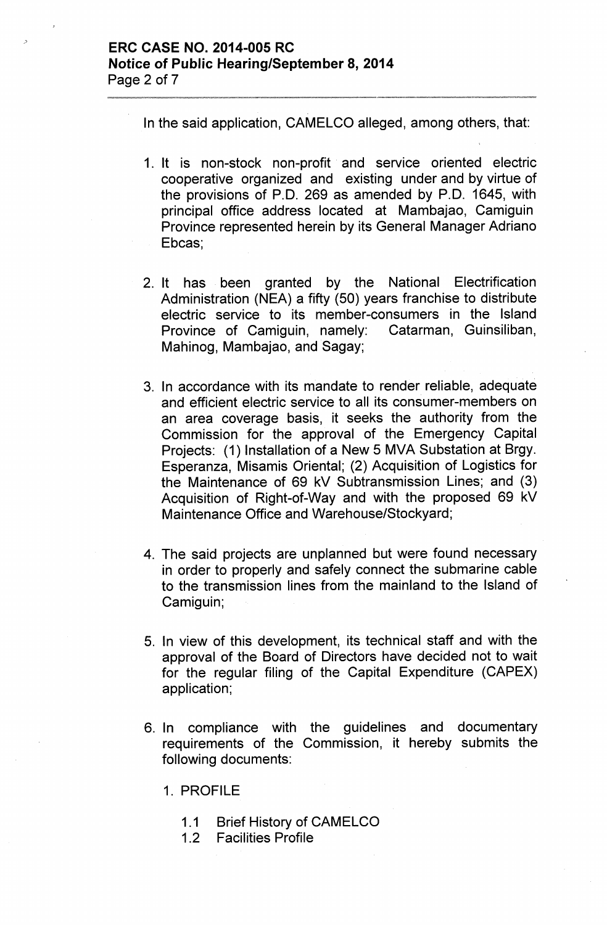## ERC CASE NO. 2014-005 RC Notice of Public Hearing/September 8, 2014 Page 2 of 7

In the said application, CAMELCO alleged, among others, that:

- 1. It is non-stock non-profit and service oriented electric cooperative organized and existing under and by virtue of the provisions of P.O. 269 as amended by P.O. 1645, with principal office address located at Mambajao, Camiguin Province represented herein by its General Manager Adriano Ebcas;
- 2. It has been granted by the National Electrification Administration (NEA) a fifty (50) years franchise to distribute electric service to its member-consumers in the Island Province of Camiguin, namely: Catarman, Guinsiliban, Mahinog, Mambajao, and Sagay;
- 3. In accordance with its mandate to render reliable, adequate and efficient electric service to all its consumer-members on an area coverage basis, it seeks the authority from the Commission for the approval of the Emergency Capital Projects: (1) Installation of a New 5 MVA Substation at Brgy. Esperanza, Misamis Oriental; (2) Acquisition of Logistics for the Maintenance of 69 kV Subtransmission Lines; and (3) Acquisition of Right-of-Way and with the proposed 69 kV Maintenance Office and Warehouse/Stockyard;
- 4. The said projects are unplanned but were found necessary in order to properly and safely connect the submarine cable to the transmission lines from the mainland to the Island of Camiguin;
- 5. In view of this development, its technical staff and with the approval of the Board of Directors have decided not to wait for the regular filing of the Capital Expenditure (CAPEX) application;
- 6. In compliance with the guidelines and documentary requirements of the Commission, it hereby submits the following documents:

1. PROFILE

- 1.1 Brief History of CAMELCO
- 1.2 Facilities Profile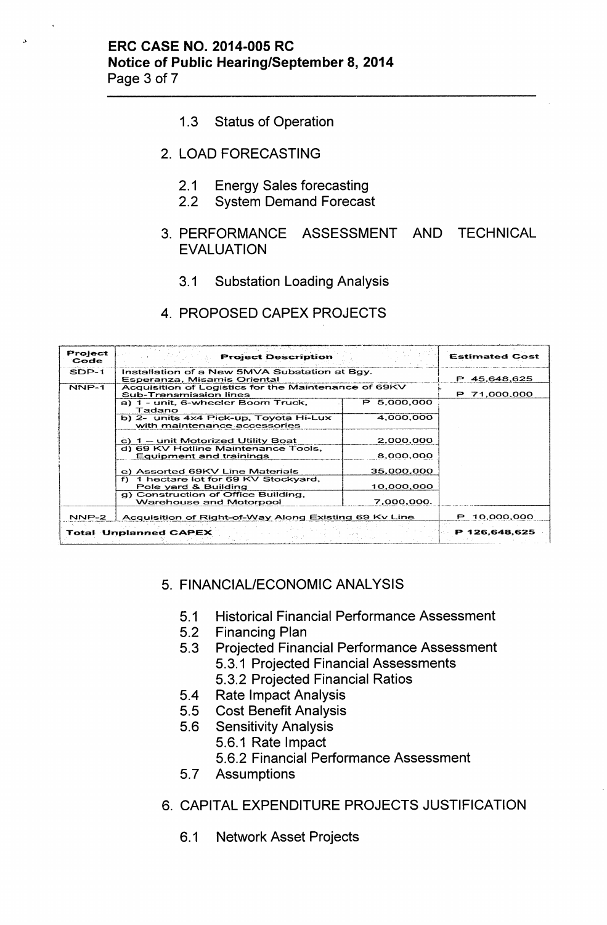- **1.3 Status of Operation**
- 2. **LOAD FORECASTING**
	- 2.1 **Energy Sales forecasting**
	- 2.2 **System Demand Forecast**
- 3. **PERFORMANCE ASSESSMENT AND TECHNICAL EVALUATION**
	- 3.1 **Substation Loading Analysis**
- 4. **PROPOSED CAPEX PROJECTS**

| Project<br>Code | <b>Project Description</b>                                                            |              | <b>Estimated Cost</b> |
|-----------------|---------------------------------------------------------------------------------------|--------------|-----------------------|
| SDP-1           | Installation of a New 5MVA Substation at Bgy.<br>Esperanza, Misamis Oriental          | P 45,648,625 |                       |
| NNP-1           | Acquisition of Logistics for the Maintenance of 69KV<br><b>Sub-Transmission lines</b> | P 71,000,000 |                       |
|                 | a) 1 - unit, 6-wheeler Boom Truck,<br>Tadano                                          | P 5.000.000  |                       |
|                 | b) 2- units 4x4 Pick-up, Toyota Hi-Lux<br>with maintenance accessories                | 4,000,000    |                       |
|                 | c) 1 - unit Motorized Utility Boat                                                    | 2.000.000    |                       |
|                 | d) 69 KV Hotline Maintenance Tools,<br><b>Equipment and trainings</b>                 | 8.000,000    |                       |
|                 | e) Assorted 69KV Line Materials                                                       | 35,000,000   |                       |
|                 | f) 1 hectare lot for 69 KV Stockyard,<br>Pole yard & Building                         |              |                       |
|                 | g) Construction of Office Building,<br><b>Warehouse and Motorpool</b>                 |              |                       |
| NNP-2           | Acquisition of Right-of-Way Along Existing 69 Kv Line                                 |              | P 10,000,000          |
|                 | <b>Total Unplanned CAPEX</b>                                                          |              | P 126,648,625         |

# 5. **FINANCIAL/ECONOMIC ANALYSIS**

- 5.1 **Historical Financial Performance Assessment**
- 5.2 **Financing Plan**
- 5.3 **Projected Financial Performance Assessment** 5.3.1 **Projected Financial Assessments**
	- 5.3.2 **Projected Financial Ratios**
- 5.4 **Rate Impact Analysis**
- 5.5 **Cost Benefit Analysis**
- 5.6 **Sensitivity Analysis**
	- 5.6.1 **Rate Impact**
		- 5.6.2 **Financial Performance Assessment**
- **5.7 Assumptions**
- 6. **CAPITAL EXPENDITURE PROJECTS JUSTIFICATION**
	- 6.1 **Network Asset Projects**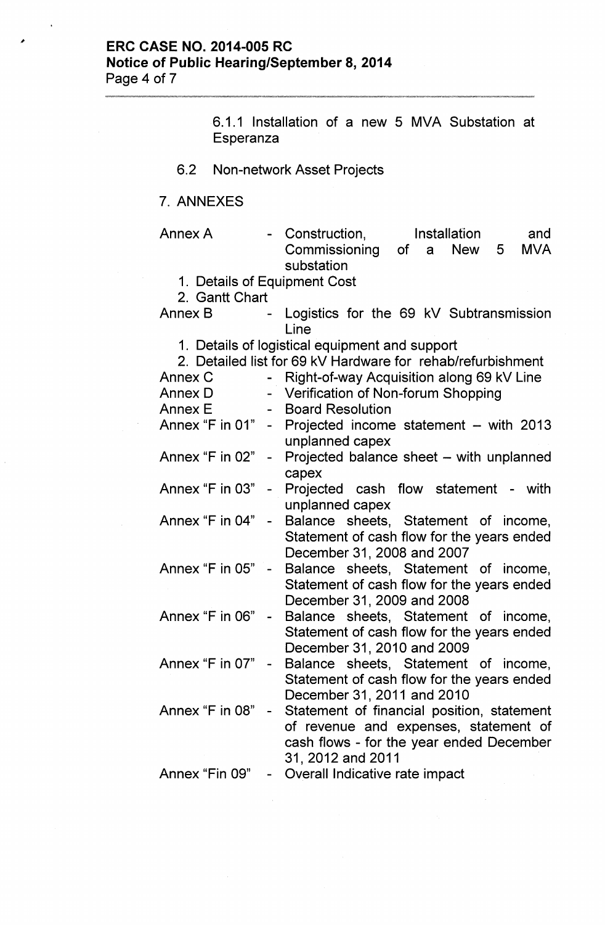# **ERC CASE NO. 2014-005 RC Notice of Public Hearing/September 8, 2014** Page 4 of 7

|                                                                                           | 6.1.1 Installation of a new 5 MVA Substation at<br>Esperanza                                                  |                |                                                                                                                                                      |  |  |                     |   |                   |
|-------------------------------------------------------------------------------------------|---------------------------------------------------------------------------------------------------------------|----------------|------------------------------------------------------------------------------------------------------------------------------------------------------|--|--|---------------------|---|-------------------|
| 6.2                                                                                       | <b>Non-network Asset Projects</b>                                                                             |                |                                                                                                                                                      |  |  |                     |   |                   |
| 7. ANNEXES                                                                                |                                                                                                               |                |                                                                                                                                                      |  |  |                     |   |                   |
| Annex A                                                                                   | 1. Details of Equipment Cost<br>2. Gantt Chart                                                                |                | - Construction,<br>Commissioning of a<br>substation                                                                                                  |  |  | Installation<br>New | 5 | and<br><b>MVA</b> |
| Annex B                                                                                   |                                                                                                               | $\blacksquare$ | Logistics for the 69 kV Subtransmission<br>Line                                                                                                      |  |  |                     |   |                   |
| Annex C<br>Annex D<br>Annex E<br>Annex "F in 01" - Projected income statement - with 2013 | 1. Details of logistical equipment and support<br>2. Detailed list for 69 kV Hardware for rehab/refurbishment |                | - Right-of-way Acquisition along 69 kV Line<br>- Verification of Non-forum Shopping<br>- Board Resolution                                            |  |  |                     |   |                   |
| Annex "F in $02" -$                                                                       |                                                                                                               |                | unplanned capex<br>Projected balance sheet – with unplanned                                                                                          |  |  |                     |   |                   |
| Annex "F in $03" -$                                                                       |                                                                                                               |                | capex<br>Projected cash flow statement - with<br>unplanned capex                                                                                     |  |  |                     |   |                   |
| Annex "F in 04" - Balance sheets, Statement of income,                                    |                                                                                                               |                | Statement of cash flow for the years ended<br>December 31, 2008 and 2007                                                                             |  |  |                     |   |                   |
| Annex "F in $05$ " $-$                                                                    |                                                                                                               |                | Balance sheets, Statement of income,<br>Statement of cash flow for the years ended<br>December 31, 2009 and 2008                                     |  |  |                     |   |                   |
| Annex "F in 06"                                                                           |                                                                                                               |                | Balance sheets, Statement of income,<br>Statement of cash flow for the years ended<br>December 31, 2010 and 2009                                     |  |  |                     |   |                   |
| Annex "F in 07"                                                                           |                                                                                                               |                | Balance sheets, Statement of income,<br>Statement of cash flow for the years ended<br>December 31, 2011 and 2010                                     |  |  |                     |   |                   |
| Annex "F in 08"                                                                           |                                                                                                               |                | Statement of financial position, statement<br>of revenue and expenses, statement of<br>cash flows - for the year ended December<br>31, 2012 and 2011 |  |  |                     |   |                   |
| Annex "Fin 09"                                                                            |                                                                                                               |                | Overall Indicative rate impact                                                                                                                       |  |  |                     |   |                   |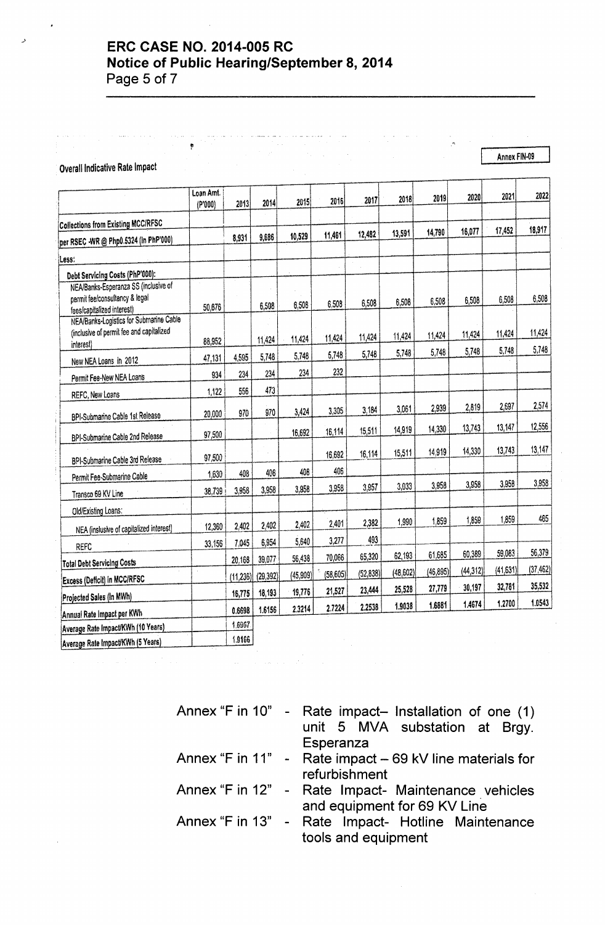# -' **ERC CASE NO. 2014-005 RC**

**Notice of Public Hearing/September 8, 2014**

Page 5 of 7

#### Overall Indicative Rate Impact

I Loan Amt. (P'000) 2013 2014 2015 2016 2017 2018 2019 2020 2021 2022 I Collections from Existing MCC/RFSC per RSEC WR @ Php0.5324 (in PhP'000) <sup>I</sup> 8,931 9,686 10,529 11,461 . 12,482 13,591 14,790 16,077 17,452 18,911 lLess: <sup>I</sup> Debt Servicing Costs (PhP'000): I NEA/Banks-Esperanza SS (inclusive of permit fee/consultancy & legal nermit teerconsuitancy a legal interest)<br>Tees/capitalized interest) 6,508 6,508 6,508 6,508 6,508 6,508 6,508 6,508 6,508 6,508 6,508 6,508 6,508 6,508 NEA/Banks-Logistics for Submarine Cable (inclusive of permit fee and capitalized interest) and the complete the contract to the contract the end of the contract the end of the contract the end of the contract the end of the contract of the contract the contract of the contract of the contract of the co New NEA Loans in 2012 47,131 4,595 5,748 5,748 5,748 5,748 5,748 5,748 5,748 5,748 5,748 5,748 5,748 5,748 5,748 5,748 5,748 5,748 5,748 5,748 5,748 5,748 5,748 5,748 5,748 5,748 5,748 5,748 5,748 5,748 5,748 5,748 5,748 5 Permit Fee-New NEA Loans 934 234 234 234 232<br>PEEC-New Loans 1.122 556 473 REFC, New Loans 1,122 556 I 20,000 i BPI-Submarine Cable 1st Release 970 970 970 970 3,424 3,305 3,184 3,061 2,939 2,619 2,697 2,574 I I BPI-Submarine Cable 2nd Release 97,500 97,500 16,692 16,114 15,511 14,919 14,330 13,743 13,147 12,556  $: \mathbb{R}$ I I BPI-Submarine Cable 3rd Release 197,500  $16,692$  16,114 15,511 14,919 14,330 13,743 13,147 **Permit Fee-Submarine Cable** 1,630 408 408 408 408 406 406 406 **108 406 108 406 108 108 406 108 108 108 108 108 108** Transco 69 KV Line 38,739 3,958 3,958 3,958 3,958 3,958 3,958 3,958 3,958 3,958 3,958 3,958 3,958 3,958 3,958 Old/Existing Loans: i I -T NEA (inslusive of capitalized interest) 12,360 2,402 2,402 2,402 2,401 2,382 1,990 1,859 1,859 1,859 1,859 1,859 -- 83,156 7,045 6,954 5,640 3,277 493 Total Debt Servicing Costs 1 20,168 39,077 56,438 70,066 65,320 62,193 61,685 60,389 59,083 56,379 61,685 60,389 59,083 56,379 61,685 60,389 59,083 56,379 61,685 60,389 56,379 61,685 60,389 56,379 61,685 60,389 56,379 61,6 Total Debt Servicing Costs<br>
Excess (Deficit) in MCC/RFSC (11.236) (29,392) (45,909) (58,605) (52,838) (48,602) (46,895) (44,312)<br>
18,775 18,493 1975 21,527 23,444 25,528 27,779 30,197 (41,631) - *(37A621* Projected Sales (In MWh) jn 16,775 18,193 19,776 21,527 23,444 25,528 27,779 30,197 32,781 35,532<br>Projected Sales (In MWh) jn 16,775 18,193 [Annual Rate Impact per KWh | No. 10.0598 | 1.6156 | 2.3214 | 2.7224 | 2.2538 | 1.9038 | 1.6881 | 1.4674 | 1.2700 | 1.0543 Average Rate Impact/KWh (10 Years) I i 1.6967 Average Rate Impact/KWh (5 Years) 1.9166

"

Annex FIN-09

Annex "F in 10" - Rate impact- Installation of one  $(1)$ unit 5 MVA substation at Brgy. Esperanza Annex "F in 11" - Rate impact  $-$  69 kV line materials for refurbishment Annex "F in 12" - Rate Impact- Maintenance vehicles and equipment for 69 KV Line Annex "F in 13" - Rate Impact- Hotline Maintenance tools and equipment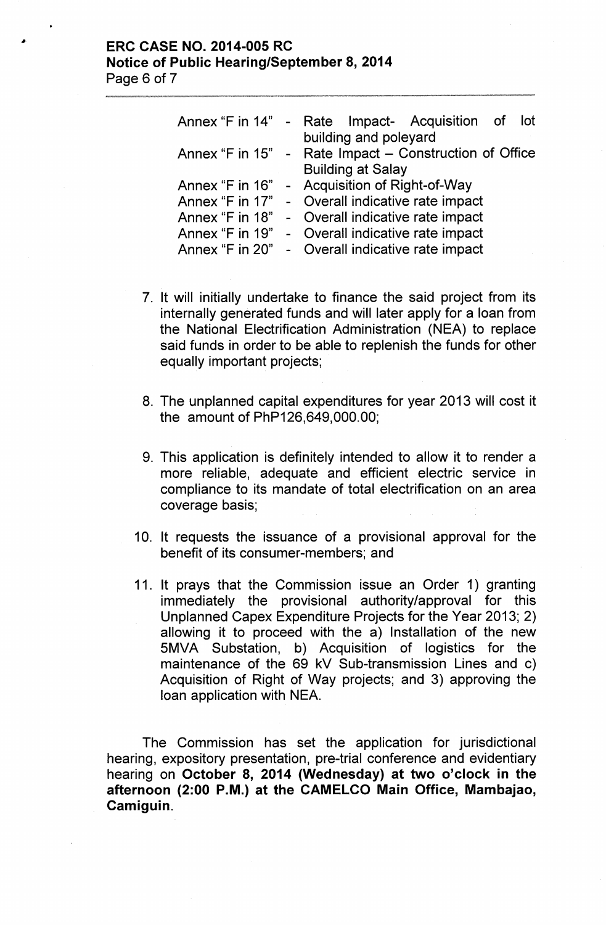## ERC CASE NO. 2014-005 RC Notice of Public Hearing/September 8, 2014 Page 6 of 7

| Annex "F in $14" -$ | Rate Impact- Acquisition of<br>lot                     |
|---------------------|--------------------------------------------------------|
|                     | building and poleyard                                  |
|                     | Annex "F in 15" - Rate Impact – Construction of Office |
|                     | <b>Building at Salay</b>                               |
|                     | Annex "F in 16" - Acquisition of Right-of-Way          |
|                     | Annex "F in 17" - Overall indicative rate impact       |
| Annex "F in 18"     | - Overall indicative rate impact                       |
|                     | Annex "F in 19" - Overall indicative rate impact       |
| Annex "F in 20"     | - Overall indicative rate impact                       |

- 7. It will initially undertake to finance the said project from its internally generated funds and will later apply for a loan from the National Electrification Administration (NEA) to replace said funds in order to be able to replenish the funds for other equally important projects;
- 8. The unplanned capital expenditures for year 2013 will cost it the amount of PhP126,649,OOO.00;
- 9. This application is definitely intended to allow it to render a more reliable, adequate and efficient electric service in compliance to its mandate of total electrification on an area coverage basis;
- 10. It requests the issuance of a provisional approval for the benefit of its consumer-members; and
- 11. It prays that the Commission issue an Order 1) granting immediately the provisional authority/approval for this Unplanned Capex Expenditure Projects for the Year 2013; 2) allowing it to proceed with the a) Installation of the new 5MVA Substation, b) Acquisition of logistics for the maintenance of the 69 kV Sub-transmission Lines and c) Acquisition of Right of Way projects; and 3) approving the loan application with NEA.

The Commission has set the application for jurisdictional hearing, expository presentation, pre-trial conference and evidentiary hearing on October 8, 2014 (Wednesday) at two o'clock in the afternoon (2:00 P.M.) at the CAMELCO Main Office, Mambajao, Camiguin.